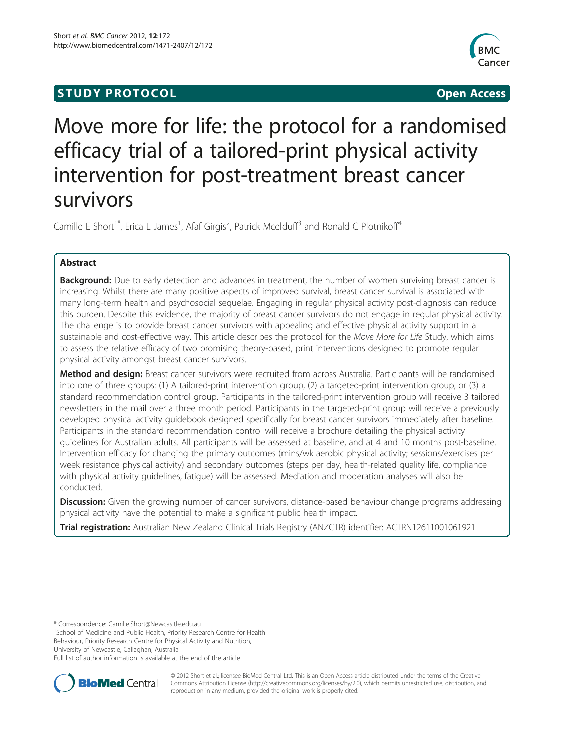## **STUDY PROTOCOL CONSUMING THE CONSUMING OPEN ACCESS**



# Move more for life: the protocol for a randomised efficacy trial of a tailored-print physical activity intervention for post-treatment breast cancer survivors

Camille E Short<sup>1\*</sup>, Erica L James<sup>1</sup>, Afaf Girgis<sup>2</sup>, Patrick Mcelduff<sup>3</sup> and Ronald C Plotnikoff<sup>4</sup>

## Abstract

Background: Due to early detection and advances in treatment, the number of women surviving breast cancer is increasing. Whilst there are many positive aspects of improved survival, breast cancer survival is associated with many long-term health and psychosocial sequelae. Engaging in regular physical activity post-diagnosis can reduce this burden. Despite this evidence, the majority of breast cancer survivors do not engage in regular physical activity. The challenge is to provide breast cancer survivors with appealing and effective physical activity support in a sustainable and cost-effective way. This article describes the protocol for the Move More for Life Study, which aims to assess the relative efficacy of two promising theory-based, print interventions designed to promote regular physical activity amongst breast cancer survivors.

Method and design: Breast cancer survivors were recruited from across Australia. Participants will be randomised into one of three groups: (1) A tailored-print intervention group, (2) a targeted-print intervention group, or (3) a standard recommendation control group. Participants in the tailored-print intervention group will receive 3 tailored newsletters in the mail over a three month period. Participants in the targeted-print group will receive a previously developed physical activity guidebook designed specifically for breast cancer survivors immediately after baseline. Participants in the standard recommendation control will receive a brochure detailing the physical activity guidelines for Australian adults. All participants will be assessed at baseline, and at 4 and 10 months post-baseline. Intervention efficacy for changing the primary outcomes (mins/wk aerobic physical activity; sessions/exercises per week resistance physical activity) and secondary outcomes (steps per day, health-related quality life, compliance with physical activity guidelines, fatigue) will be assessed. Mediation and moderation analyses will also be conducted.

Discussion: Given the growing number of cancer survivors, distance-based behaviour change programs addressing physical activity have the potential to make a significant public health impact.

Trial registration: Australian New Zealand Clinical Trials Registry (ANZCTR) identifier: ACTRN12611001061921

\* Correspondence: [Camille.Short@Newcasltle.edu.au](mailto:Camille.Short@Newcasltle.edu.au) <sup>1</sup>

<sup>1</sup> School of Medicine and Public Health, Priority Research Centre for Health Behaviour, Priority Research Centre for Physical Activity and Nutrition,

University of Newcastle, Callaghan, Australia

Full list of author information is available at the end of the article



© 2012 Short et al.; licensee BioMed Central Ltd. This is an Open Access article distributed under the terms of the Creative Commons Attribution License [\(http://creativecommons.org/licenses/by/2.0\)](http://creativecommons.org/licenses/by/2.0), which permits unrestricted use, distribution, and reproduction in any medium, provided the original work is properly cited.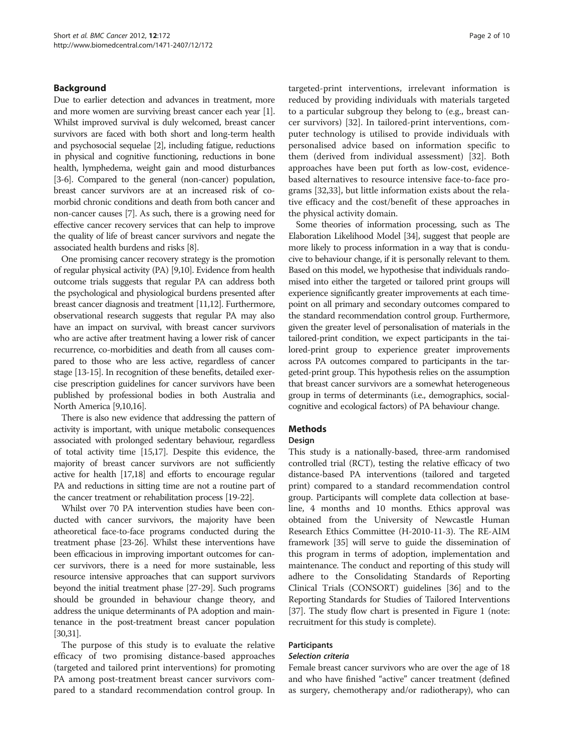## Background

Due to earlier detection and advances in treatment, more and more women are surviving breast cancer each year [[1](#page-7-0)]. Whilst improved survival is duly welcomed, breast cancer survivors are faced with both short and long-term health and psychosocial sequelae [\[2](#page-7-0)], including fatigue, reductions in physical and cognitive functioning, reductions in bone health, lymphedema, weight gain and mood disturbances [[3](#page-7-0)-[6\]](#page-7-0). Compared to the general (non-cancer) population, breast cancer survivors are at an increased risk of comorbid chronic conditions and death from both cancer and non-cancer causes [\[7\]](#page-7-0). As such, there is a growing need for effective cancer recovery services that can help to improve the quality of life of breast cancer survivors and negate the associated health burdens and risks [\[8\]](#page-7-0).

One promising cancer recovery strategy is the promotion of regular physical activity (PA) [[9,10\]](#page-7-0). Evidence from health outcome trials suggests that regular PA can address both the psychological and physiological burdens presented after breast cancer diagnosis and treatment [\[11,12\]](#page-7-0). Furthermore, observational research suggests that regular PA may also have an impact on survival, with breast cancer survivors who are active after treatment having a lower risk of cancer recurrence, co-morbidities and death from all causes compared to those who are less active, regardless of cancer stage [[13](#page-7-0)-[15](#page-7-0)]. In recognition of these benefits, detailed exercise prescription guidelines for cancer survivors have been published by professional bodies in both Australia and North America [\[9,10,16](#page-7-0)].

There is also new evidence that addressing the pattern of activity is important, with unique metabolic consequences associated with prolonged sedentary behaviour, regardless of total activity time [\[15,17](#page-7-0)]. Despite this evidence, the majority of breast cancer survivors are not sufficiently active for health [\[17,18\]](#page-7-0) and efforts to encourage regular PA and reductions in sitting time are not a routine part of the cancer treatment or rehabilitation process [\[19-22](#page-7-0)].

Whilst over 70 PA intervention studies have been conducted with cancer survivors, the majority have been atheoretical face-to-face programs conducted during the treatment phase [\[23-26\]](#page-7-0). Whilst these interventions have been efficacious in improving important outcomes for cancer survivors, there is a need for more sustainable, less resource intensive approaches that can support survivors beyond the initial treatment phase [[27](#page-7-0)-[29](#page-8-0)]. Such programs should be grounded in behaviour change theory, and address the unique determinants of PA adoption and maintenance in the post-treatment breast cancer population [[30,31\]](#page-8-0).

The purpose of this study is to evaluate the relative efficacy of two promising distance-based approaches (targeted and tailored print interventions) for promoting PA among post-treatment breast cancer survivors compared to a standard recommendation control group. In targeted-print interventions, irrelevant information is reduced by providing individuals with materials targeted to a particular subgroup they belong to (e.g., breast cancer survivors) [[32\]](#page-8-0). In tailored-print interventions, computer technology is utilised to provide individuals with personalised advice based on information specific to them (derived from individual assessment) [\[32](#page-8-0)]. Both approaches have been put forth as low-cost, evidencebased alternatives to resource intensive face-to-face programs [\[32,33](#page-8-0)], but little information exists about the relative efficacy and the cost/benefit of these approaches in the physical activity domain.

Some theories of information processing, such as The Elaboration Likelihood Model [\[34\]](#page-8-0), suggest that people are more likely to process information in a way that is conducive to behaviour change, if it is personally relevant to them. Based on this model, we hypothesise that individuals randomised into either the targeted or tailored print groups will experience significantly greater improvements at each timepoint on all primary and secondary outcomes compared to the standard recommendation control group. Furthermore, given the greater level of personalisation of materials in the tailored-print condition, we expect participants in the tailored-print group to experience greater improvements across PA outcomes compared to participants in the targeted-print group. This hypothesis relies on the assumption that breast cancer survivors are a somewhat heterogeneous group in terms of determinants (i.e., demographics, socialcognitive and ecological factors) of PA behaviour change.

## **Methods**

## Design

This study is a nationally-based, three-arm randomised controlled trial (RCT), testing the relative efficacy of two distance-based PA interventions (tailored and targeted print) compared to a standard recommendation control group. Participants will complete data collection at baseline, 4 months and 10 months. Ethics approval was obtained from the University of Newcastle Human Research Ethics Committee (H-2010-11-3). The RE-AIM framework [\[35\]](#page-8-0) will serve to guide the dissemination of this program in terms of adoption, implementation and maintenance. The conduct and reporting of this study will adhere to the Consolidating Standards of Reporting Clinical Trials (CONSORT) guidelines [[36](#page-8-0)] and to the Reporting Standards for Studies of Tailored Interventions [[37](#page-8-0)]. The study flow chart is presented in Figure [1](#page-2-0) (note: recruitment for this study is complete).

## Participants

#### Selection criteria

Female breast cancer survivors who are over the age of 18 and who have finished "active" cancer treatment (defined as surgery, chemotherapy and/or radiotherapy), who can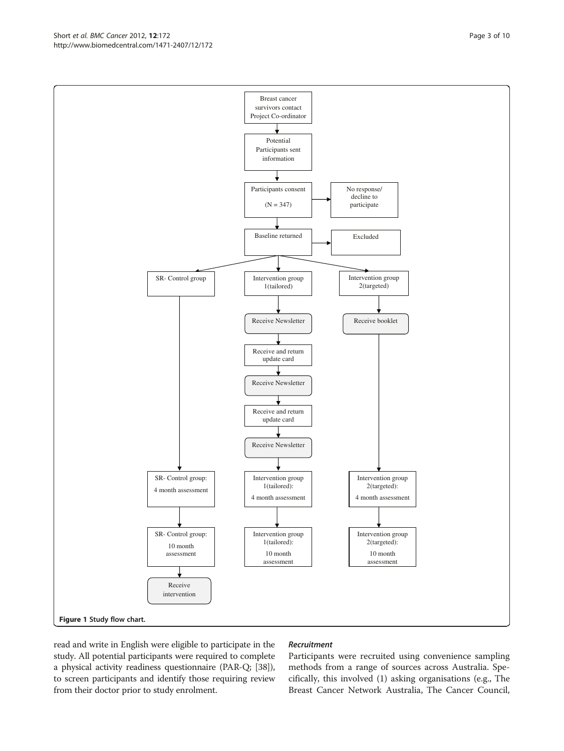read and write in English were eligible to participate in the study. All potential participants were required to complete a physical activity readiness questionnaire (PAR-Q; [[38](#page-8-0)]), to screen participants and identify those requiring review from their doctor prior to study enrolment.

#### Recruitment

Participants were recruited using convenience sampling methods from a range of sources across Australia. Specifically, this involved (1) asking organisations (e.g., The Breast Cancer Network Australia, The Cancer Council,

<span id="page-2-0"></span>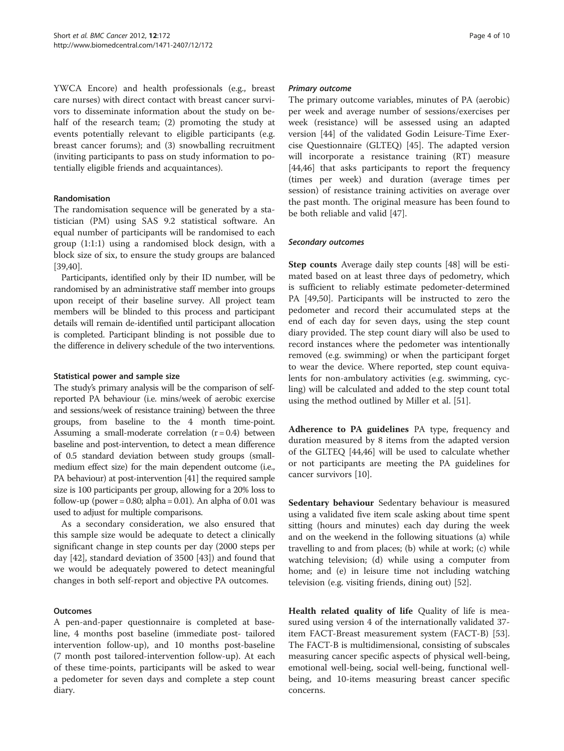YWCA Encore) and health professionals (e.g., breast care nurses) with direct contact with breast cancer survivors to disseminate information about the study on behalf of the research team; (2) promoting the study at events potentially relevant to eligible participants (e.g. breast cancer forums); and (3) snowballing recruitment (inviting participants to pass on study information to potentially eligible friends and acquaintances).

#### Randomisation

The randomisation sequence will be generated by a statistician (PM) using SAS 9.2 statistical software. An equal number of participants will be randomised to each group (1:1:1) using a randomised block design, with a block size of six, to ensure the study groups are balanced [[39,40\]](#page-8-0).

Participants, identified only by their ID number, will be randomised by an administrative staff member into groups upon receipt of their baseline survey. All project team members will be blinded to this process and participant details will remain de-identified until participant allocation is completed. Participant blinding is not possible due to the difference in delivery schedule of the two interventions.

#### Statistical power and sample size

The study's primary analysis will be the comparison of selfreported PA behaviour (i.e. mins/week of aerobic exercise and sessions/week of resistance training) between the three groups, from baseline to the 4 month time-point. Assuming a small-moderate correlation  $(r = 0.4)$  between baseline and post-intervention, to detect a mean difference of 0.5 standard deviation between study groups (smallmedium effect size) for the main dependent outcome (i.e., PA behaviour) at post-intervention [[41](#page-8-0)] the required sample size is 100 participants per group, allowing for a 20% loss to follow-up (power =  $0.80$ ; alpha =  $0.01$ ). An alpha of  $0.01$  was used to adjust for multiple comparisons.

As a secondary consideration, we also ensured that this sample size would be adequate to detect a clinically significant change in step counts per day (2000 steps per day [[42\]](#page-8-0), standard deviation of 3500 [\[43](#page-8-0)]) and found that we would be adequately powered to detect meaningful changes in both self-report and objective PA outcomes.

#### **Outcomes**

A pen-and-paper questionnaire is completed at baseline, 4 months post baseline (immediate post- tailored intervention follow-up), and 10 months post-baseline (7 month post tailored-intervention follow-up). At each of these time-points, participants will be asked to wear a pedometer for seven days and complete a step count diary.

#### Primary outcome

The primary outcome variables, minutes of PA (aerobic) per week and average number of sessions/exercises per week (resistance) will be assessed using an adapted version [[44](#page-8-0)] of the validated Godin Leisure-Time Exercise Questionnaire (GLTEQ) [\[45](#page-8-0)]. The adapted version will incorporate a resistance training (RT) measure [[44,46\]](#page-8-0) that asks participants to report the frequency (times per week) and duration (average times per session) of resistance training activities on average over the past month. The original measure has been found to be both reliable and valid [[47\]](#page-8-0).

#### Secondary outcomes

Step counts Average daily step counts [\[48](#page-8-0)] will be estimated based on at least three days of pedometry, which is sufficient to reliably estimate pedometer-determined PA [[49,50\]](#page-8-0). Participants will be instructed to zero the pedometer and record their accumulated steps at the end of each day for seven days, using the step count diary provided. The step count diary will also be used to record instances where the pedometer was intentionally removed (e.g. swimming) or when the participant forget to wear the device. Where reported, step count equivalents for non-ambulatory activities (e.g. swimming, cycling) will be calculated and added to the step count total using the method outlined by Miller et al. [\[51](#page-8-0)].

Adherence to PA guidelines PA type, frequency and duration measured by 8 items from the adapted version of the GLTEQ [[44](#page-8-0),[46](#page-8-0)] will be used to calculate whether or not participants are meeting the PA guidelines for cancer survivors [[10](#page-7-0)].

Sedentary behaviour Sedentary behaviour is measured using a validated five item scale asking about time spent sitting (hours and minutes) each day during the week and on the weekend in the following situations (a) while travelling to and from places; (b) while at work; (c) while watching television; (d) while using a computer from home; and (e) in leisure time not including watching television (e.g. visiting friends, dining out) [[52\]](#page-8-0).

Health related quality of life Quality of life is measured using version 4 of the internationally validated 37 item FACT-Breast measurement system (FACT-B) [\[53](#page-8-0)]. The FACT-B is multidimensional, consisting of subscales measuring cancer specific aspects of physical well-being, emotional well-being, social well-being, functional wellbeing, and 10-items measuring breast cancer specific concerns.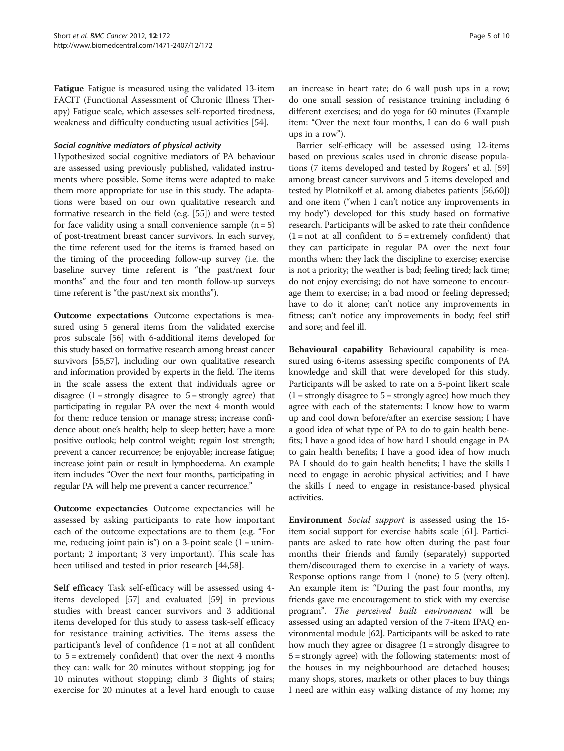Fatigue Fatigue is measured using the validated 13-item FACIT (Functional Assessment of Chronic Illness Therapy) Fatigue scale, which assesses self-reported tiredness, weakness and difficulty conducting usual activities [[54\]](#page-8-0).

#### Social cognitive mediators of physical activity

Hypothesized social cognitive mediators of PA behaviour are assessed using previously published, validated instruments where possible. Some items were adapted to make them more appropriate for use in this study. The adaptations were based on our own qualitative research and formative research in the field (e.g. [\[55](#page-8-0)]) and were tested for face validity using a small convenience sample  $(n = 5)$ of post-treatment breast cancer survivors. In each survey, the time referent used for the items is framed based on the timing of the proceeding follow-up survey (i.e. the baseline survey time referent is "the past/next four months" and the four and ten month follow-up surveys time referent is "the past/next six months").

Outcome expectations Outcome expectations is measured using 5 general items from the validated exercise pros subscale [\[56\]](#page-8-0) with 6-additional items developed for this study based on formative research among breast cancer survivors [\[55,57](#page-8-0)], including our own qualitative research and information provided by experts in the field. The items in the scale assess the extent that individuals agree or disagree  $(1 =$  strongly disagree to  $5 =$  strongly agree) that participating in regular PA over the next 4 month would for them: reduce tension or manage stress; increase confidence about one's health; help to sleep better; have a more positive outlook; help control weight; regain lost strength; prevent a cancer recurrence; be enjoyable; increase fatigue; increase joint pain or result in lymphoedema. An example item includes "Over the next four months, participating in regular PA will help me prevent a cancer recurrence."

Outcome expectancies Outcome expectancies will be assessed by asking participants to rate how important each of the outcome expectations are to them (e.g. "For me, reducing joint pain is") on a 3-point scale  $(1 = \text{unim-}$ portant; 2 important; 3 very important). This scale has been utilised and tested in prior research [[44,58\]](#page-8-0).

Self efficacy Task self-efficacy will be assessed using 4 items developed [\[57\]](#page-8-0) and evaluated [[59\]](#page-8-0) in previous studies with breast cancer survivors and 3 additional items developed for this study to assess task-self efficacy for resistance training activities. The items assess the participant's level of confidence  $(1 = not at all conflict)$ to  $5 =$  extremely confident) that over the next 4 months they can: walk for 20 minutes without stopping; jog for 10 minutes without stopping; climb 3 flights of stairs; exercise for 20 minutes at a level hard enough to cause an increase in heart rate; do 6 wall push ups in a row; do one small session of resistance training including 6 different exercises; and do yoga for 60 minutes (Example item: "Over the next four months, I can do 6 wall push ups in a row").

Barrier self-efficacy will be assessed using 12-items based on previous scales used in chronic disease populations (7 items developed and tested by Rogers' et al. [[59](#page-8-0)] among breast cancer survivors and 5 items developed and tested by Plotnikoff et al. among diabetes patients [\[56,60](#page-8-0)]) and one item ("when I can't notice any improvements in my body") developed for this study based on formative research. Participants will be asked to rate their confidence  $(1 = not at all confident to 5 = extremely confident) that$ they can participate in regular PA over the next four months when: they lack the discipline to exercise; exercise is not a priority; the weather is bad; feeling tired; lack time; do not enjoy exercising; do not have someone to encourage them to exercise; in a bad mood or feeling depressed; have to do it alone; can't notice any improvements in fitness; can't notice any improvements in body; feel stiff and sore; and feel ill.

Behavioural capability Behavioural capability is measured using 6-items assessing specific components of PA knowledge and skill that were developed for this study. Participants will be asked to rate on a 5-point likert scale  $(1 =$  strongly disagree to  $5 =$  strongly agree) how much they agree with each of the statements: I know how to warm up and cool down before/after an exercise session; I have a good idea of what type of PA to do to gain health benefits; I have a good idea of how hard I should engage in PA to gain health benefits; I have a good idea of how much PA I should do to gain health benefits; I have the skills I need to engage in aerobic physical activities; and I have the skills I need to engage in resistance-based physical activities.

Environment Social support is assessed using the 15 item social support for exercise habits scale [\[61\]](#page-8-0). Participants are asked to rate how often during the past four months their friends and family (separately) supported them/discouraged them to exercise in a variety of ways. Response options range from 1 (none) to 5 (very often). An example item is: "During the past four months, my friends gave me encouragement to stick with my exercise program". The perceived built environment will be assessed using an adapted version of the 7-item IPAQ environmental module [[62](#page-8-0)]. Participants will be asked to rate how much they agree or disagree  $(1 =$  strongly disagree to 5 = strongly agree) with the following statements: most of the houses in my neighbourhood are detached houses; many shops, stores, markets or other places to buy things I need are within easy walking distance of my home; my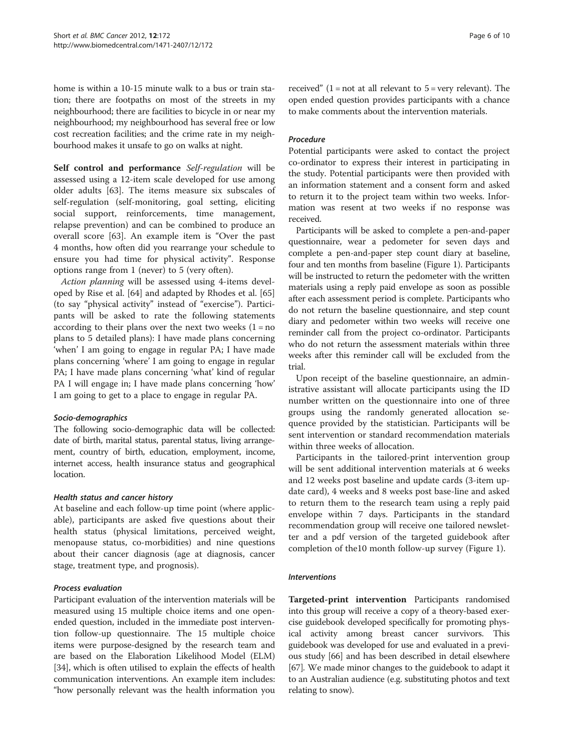home is within a 10-15 minute walk to a bus or train station; there are footpaths on most of the streets in my neighbourhood; there are facilities to bicycle in or near my neighbourhood; my neighbourhood has several free or low cost recreation facilities; and the crime rate in my neighbourhood makes it unsafe to go on walks at night.

Self control and performance Self-regulation will be assessed using a 12-item scale developed for use among older adults [[63](#page-8-0)]. The items measure six subscales of self-regulation (self-monitoring, goal setting, eliciting social support, reinforcements, time management, relapse prevention) and can be combined to produce an overall score [[63\]](#page-8-0). An example item is "Over the past 4 months, how often did you rearrange your schedule to ensure you had time for physical activity". Response options range from 1 (never) to 5 (very often).

Action planning will be assessed using 4-items developed by Rise et al. [[64](#page-8-0)] and adapted by Rhodes et al. [[65](#page-8-0)] (to say "physical activity" instead of "exercise"). Participants will be asked to rate the following statements according to their plans over the next two weeks  $(1 = no$ plans to 5 detailed plans): I have made plans concerning 'when' I am going to engage in regular PA; I have made plans concerning 'where' I am going to engage in regular PA; I have made plans concerning 'what' kind of regular PA I will engage in; I have made plans concerning 'how' I am going to get to a place to engage in regular PA.

## Socio-demographics

The following socio-demographic data will be collected: date of birth, marital status, parental status, living arrangement, country of birth, education, employment, income, internet access, health insurance status and geographical location.

#### Health status and cancer history

At baseline and each follow-up time point (where applicable), participants are asked five questions about their health status (physical limitations, perceived weight, menopause status, co-morbidities) and nine questions about their cancer diagnosis (age at diagnosis, cancer stage, treatment type, and prognosis).

## Process evaluation

Participant evaluation of the intervention materials will be measured using 15 multiple choice items and one openended question, included in the immediate post intervention follow-up questionnaire. The 15 multiple choice items were purpose-designed by the research team and are based on the Elaboration Likelihood Model (ELM) [[34](#page-8-0)], which is often utilised to explain the effects of health communication interventions. An example item includes: "how personally relevant was the health information you received"  $(1 = not at all relevant to 5 = very relevant)$ . The open ended question provides participants with a chance to make comments about the intervention materials.

## Procedure

Potential participants were asked to contact the project co-ordinator to express their interest in participating in the study. Potential participants were then provided with an information statement and a consent form and asked to return it to the project team within two weeks. Information was resent at two weeks if no response was received.

Participants will be asked to complete a pen-and-paper questionnaire, wear a pedometer for seven days and complete a pen-and-paper step count diary at baseline, four and ten months from baseline (Figure [1](#page-2-0)). Participants will be instructed to return the pedometer with the written materials using a reply paid envelope as soon as possible after each assessment period is complete. Participants who do not return the baseline questionnaire, and step count diary and pedometer within two weeks will receive one reminder call from the project co-ordinator. Participants who do not return the assessment materials within three weeks after this reminder call will be excluded from the trial.

Upon receipt of the baseline questionnaire, an administrative assistant will allocate participants using the ID number written on the questionnaire into one of three groups using the randomly generated allocation sequence provided by the statistician. Participants will be sent intervention or standard recommendation materials within three weeks of allocation.

Participants in the tailored-print intervention group will be sent additional intervention materials at 6 weeks and 12 weeks post baseline and update cards (3-item update card), 4 weeks and 8 weeks post base-line and asked to return them to the research team using a reply paid envelope within 7 days. Participants in the standard recommendation group will receive one tailored newsletter and a pdf version of the targeted guidebook after completion of the10 month follow-up survey (Figure [1\)](#page-2-0).

#### Interventions

Targeted-print intervention Participants randomised into this group will receive a copy of a theory-based exercise guidebook developed specifically for promoting physical activity among breast cancer survivors. This guidebook was developed for use and evaluated in a previous study [[66](#page-8-0)] and has been described in detail elsewhere [[67](#page-8-0)]. We made minor changes to the guidebook to adapt it to an Australian audience (e.g. substituting photos and text relating to snow).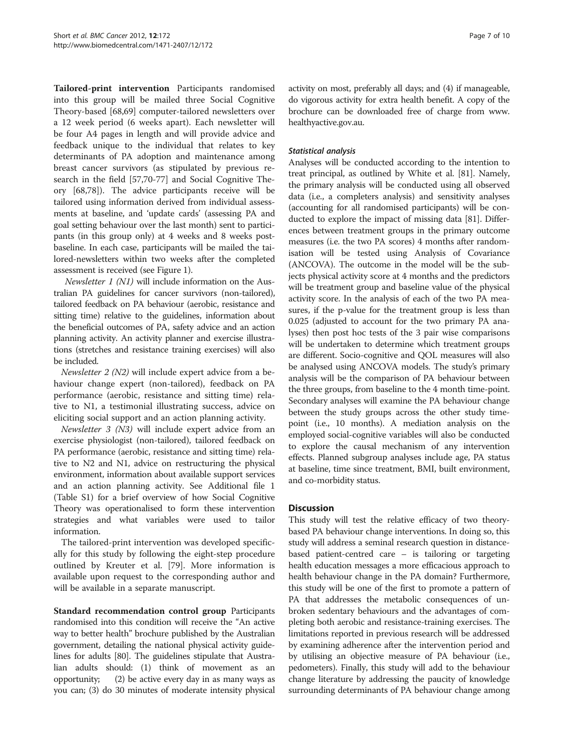Tailored-print intervention Participants randomised into this group will be mailed three Social Cognitive Theory-based [[68,69\]](#page-8-0) computer-tailored newsletters over a 12 week period (6 weeks apart). Each newsletter will be four A4 pages in length and will provide advice and feedback unique to the individual that relates to key determinants of PA adoption and maintenance among breast cancer survivors (as stipulated by previous research in the field [[57](#page-8-0),[70](#page-8-0)-[77\]](#page-9-0) and Social Cognitive Theory [\[68](#page-8-0)[,78\]](#page-9-0)). The advice participants receive will be tailored using information derived from individual assessments at baseline, and 'update cards' (assessing PA and goal setting behaviour over the last month) sent to participants (in this group only) at 4 weeks and 8 weeks postbaseline. In each case, participants will be mailed the tailored-newsletters within two weeks after the completed assessment is received (see Figure [1](#page-2-0)).

Newsletter 1 (N1) will include information on the Australian PA guidelines for cancer survivors (non-tailored), tailored feedback on PA behaviour (aerobic, resistance and sitting time) relative to the guidelines, information about the beneficial outcomes of PA, safety advice and an action planning activity. An activity planner and exercise illustrations (stretches and resistance training exercises) will also be included.

Newsletter 2 (N2) will include expert advice from a behaviour change expert (non-tailored), feedback on PA performance (aerobic, resistance and sitting time) relative to N1, a testimonial illustrating success, advice on eliciting social support and an action planning activity.

Newsletter 3 (N3) will include expert advice from an exercise physiologist (non-tailored), tailored feedback on PA performance (aerobic, resistance and sitting time) relative to N2 and N1, advice on restructuring the physical environment, information about available support services and an action planning activity. See Additional file 1 (Table S[1\)](#page-7-0) for a brief overview of how Social Cognitive Theory was operationalised to form these intervention strategies and what variables were used to tailor information.

The tailored-print intervention was developed specifically for this study by following the eight-step procedure outlined by Kreuter et al. [[79](#page-9-0)]. More information is available upon request to the corresponding author and will be available in a separate manuscript.

Standard recommendation control group Participants randomised into this condition will receive the "An active way to better health" brochure published by the Australian government, detailing the national physical activity guidelines for adults [[80](#page-9-0)]. The guidelines stipulate that Australian adults should: (1) think of movement as an opportunity; (2) be active every day in as many ways as you can; (3) do 30 minutes of moderate intensity physical activity on most, preferably all days; and (4) if manageable, do vigorous activity for extra health benefit. A copy of the brochure can be downloaded free of charge from [www.](http://www.healthyactive.gov.au) [healthyactive.gov.au.](http://www.healthyactive.gov.au)

#### Statistical analysis

Analyses will be conducted according to the intention to treat principal, as outlined by White et al. [[81\]](#page-9-0). Namely, the primary analysis will be conducted using all observed data (i.e., a completers analysis) and sensitivity analyses (accounting for all randomised participants) will be conducted to explore the impact of missing data [\[81\]](#page-9-0). Differences between treatment groups in the primary outcome measures (i.e. the two PA scores) 4 months after randomisation will be tested using Analysis of Covariance (ANCOVA). The outcome in the model will be the subjects physical activity score at 4 months and the predictors will be treatment group and baseline value of the physical activity score. In the analysis of each of the two PA measures, if the p-value for the treatment group is less than 0.025 (adjusted to account for the two primary PA analyses) then post hoc tests of the 3 pair wise comparisons will be undertaken to determine which treatment groups are different. Socio-cognitive and QOL measures will also be analysed using ANCOVA models. The study's primary analysis will be the comparison of PA behaviour between the three groups, from baseline to the 4 month time-point. Secondary analyses will examine the PA behaviour change between the study groups across the other study timepoint (i.e., 10 months). A mediation analysis on the employed social-cognitive variables will also be conducted to explore the causal mechanism of any intervention effects. Planned subgroup analyses include age, PA status at baseline, time since treatment, BMI, built environment, and co-morbidity status.

## **Discussion**

This study will test the relative efficacy of two theorybased PA behaviour change interventions. In doing so, this study will address a seminal research question in distancebased patient-centred care – is tailoring or targeting health education messages a more efficacious approach to health behaviour change in the PA domain? Furthermore, this study will be one of the first to promote a pattern of PA that addresses the metabolic consequences of unbroken sedentary behaviours and the advantages of completing both aerobic and resistance-training exercises. The limitations reported in previous research will be addressed by examining adherence after the intervention period and by utilising an objective measure of PA behaviour (i.e., pedometers). Finally, this study will add to the behaviour change literature by addressing the paucity of knowledge surrounding determinants of PA behaviour change among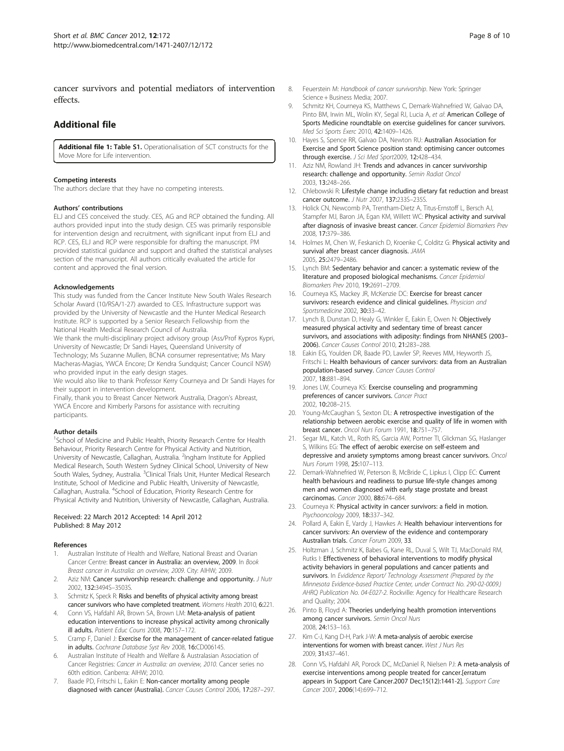<span id="page-7-0"></span>cancer survivors and potential mediators of intervention effects.

#### Additional file

[Additional file 1](http://www.biomedcentral.com/content/supplementary/1471-2407-12-172-S1.doc): Table S1. Operationalisation of SCT constructs for the Move More for Life intervention.

#### Competing interests

The authors declare that they have no competing interests.

#### Authors' contributions

ELJ and CES conceived the study. CES, AG and RCP obtained the funding. All authors provided input into the study design. CES was primarily responsible for intervention design and recruitment, with significant input from ELJ and RCP. CES, ELJ and RCP were responsible for drafting the manuscript. PM provided statistical guidance and support and drafted the statistical analyses section of the manuscript. All authors critically evaluated the article for content and approved the final version.

#### Acknowledgements

This study was funded from the Cancer Institute New South Wales Research Scholar Award (10/RSA/1-27) awarded to CES. Infrastructure support was provided by the University of Newcastle and the Hunter Medical Research Institute. RCP is supported by a Senior Research Fellowship from the National Health Medical Research Council of Australia.

We thank the multi-disciplinary project advisory group (Ass/Prof Kypros Kypri, University of Newcastle; Dr Sandi Hayes, Queensland University of Technology; Ms Suzanne Mullen, BCNA consumer representative; Ms Mary Macheras-Magias, YWCA Encore; Dr Kendra Sundquist; Cancer Council NSW) who provided input in the early design stages.

We would also like to thank Professor Kerry Courneya and Dr Sandi Hayes for their support in intervention development.

Finally, thank you to Breast Cancer Network Australia, Dragon's Abreast, YWCA Encore and Kimberly Parsons for assistance with recruiting participants.

#### Author details

<sup>1</sup>School of Medicine and Public Health, Priority Research Centre for Health Behaviour, Priority Research Centre for Physical Activity and Nutrition, University of Newcastle, Callaghan, Australia. <sup>2</sup>Ingham Institute for Applied Medical Research, South Western Sydney Clinical School, University of New South Wales, Sydney, Australia. <sup>3</sup>Clinical Trials Unit, Hunter Medical Research Institute, School of Medicine and Public Health, University of Newcastle, Callaghan, Australia. <sup>4</sup>School of Education, Priority Research Centre for Physical Activity and Nutrition, University of Newcastle, Callaghan, Australia.

#### Received: 22 March 2012 Accepted: 14 April 2012 Published: 8 May 2012

#### References

- 1. Australian Institute of Health and Welfare, National Breast and Ovarian Cancer Centre: Breast cancer in Australia: an overview, 2009. In Book Breast cancer in Australia: an overview, 2009. City: AIHW; 2009.
- 2. Aziz NM: Cancer survivorship research: challenge and opportunity. J Nutr 2002, 132:3494S–3503S.
- 3. Schmitz K, Speck R: Risks and benefits of physical activity among breast cancer survivors who have completed treatment. Womens Health 2010, 6:221.
- 4. Conn VS, Hafdahl AR, Brown SA, Brown LM: Meta-analysis of patient education interventions to increase physical activity among chronically ill adults. Patient Educ Couns 2008, 70:157–172.
- 5. Cramp F, Daniel J: Exercise for the management of cancer-related fatigue in adults. Cochrane Database Syst Rev 2008, 16:CD006145.
- 6. Australian Institute of Health and Welfare & Australasian Association of Cancer Registries: Cancer in Australia: an overview, 2010. Cancer series no 60th edition. Canberra: AIHW; 2010.
- 7. Baade PD, Fritschi L, Eakin E: Non-cancer mortality among people diagnosed with cancer (Australia). Cancer Causes Control 2006, 17:287–297.
- 8. Feuerstein M: Handbook of cancer survivorship. New York: Springer Science + Business Media; 2007.
- 9. Schmitz KH, Courneya KS, Matthews C, Demark-Wahnefried W, Galvao DA, Pinto BM, Irwin ML, Wolin KY, Segal RJ, Lucia A, et al: American College of Sports Medicine roundtable on exercise guidelines for cancer survivors. Med Sci Sports Exerc 2010, 42:1409–1426.
- 10. Hayes S, Spence RR, Galvao DA, Newton RU: Australian Association for Exercise and Sport Science position stand: optimising cancer outcomes through exercise. J Sci Med Sport2009, 12:428-434.
- 11. Aziz NM, Rowland JH: Trends and advances in cancer survivorship research: challenge and opportunity. Semin Radiat Oncol 2003, 13:248–266.
- 12. Chlebowski R: Lifestyle change including dietary fat reduction and breast cancer outcome. J Nutr 2007, 137:233S–235S.
- 13. Holick CN, Newcomb PA, Trentham-Dietz A, Titus-Ernstoff L, Bersch AJ, Stampfer MJ, Baron JA, Egan KM, Willett WC: Physical activity and survival after diagnosis of invasive breast cancer. Cancer Epidemiol Biomarkers Prev 2008, 17:379–386.
- 14. Holmes M, Chen W, Feskanich D, Kroenke C, Colditz G: Physical activity and survival after breast cancer diagnosis. JAMA 2005, 25:2479–2486.
- 15. Lynch BM: Sedentary behavior and cancer: a systematic review of the literature and proposed biological mechanisms. Cancer Epidemiol Biomarkers Prev 2010, 19:2691–2709.
- 16. Courneya KS, Mackey JR, McKenzie DC: Exercise for breast cancer survivors: research evidence and clinical guidelines. Physician and Sportsmedicine 2002, 30:33-42.
- 17. Lynch B, Dunstan D, Healy G, Winkler E, Eakin E, Owen N: Objectively measured physical activity and sedentary time of breast cancer survivors, and associations with adiposity: findings from NHANES (2003– 2006). Cancer Causes Control 2010, 21:283–288.
- 18. Eakin EG, Youlden DR, Baade PD, Lawler SP, Reeves MM, Heyworth JS, Fritschi L: Health behaviours of cancer survivors: data from an Australian population-based survey. Cancer Causes Control 2007, 18:881–894.
- 19. Jones LW, Courneya KS: Exercise counseling and programming preferences of cancer survivors. Cancer Pract 2002, 10:208–215.
- 20. Young-McCaughan S, Sexton DL: A retrospective investigation of the relationship between aerobic exercise and quality of life in women with breast cancer. Oncol Nurs Forum 1991, 18:751–757.
- 21. Segar ML, Katch VL, Roth RS, Garcia AW, Portner TI, Glickman SG, Haslanger S, Wilkins EG: The effect of aerobic exercise on self-esteem and depressive and anxiety symptoms among breast cancer survivors. Oncol Nurs Forum 1998, 25:107–113.
- 22. Demark-Wahnefried W, Peterson B, McBride C, Lipkus I, Clipp EC: Current health behaviours and readiness to pursue life-style changes among men and women diagnosed with early stage prostate and breast carcinomas. Cancer 2000, 88:674–684.
- 23. Courneya K: Physical activity in cancer survivors: a field in motion. Psychooncology 2009, 18:337–342.
- 24. Pollard A, Eakin E, Vardy J, Hawkes A: Health behaviour interventions for cancer survivors: An overview of the evidence and contemporary Australian trials. Cancer Forum 2009, 33
- 25. Holtzman J, Schmitz K, Babes G, Kane RL, Duval S, Wilt TJ, MacDonald RM, Rutks I: Effectiveness of behavioral interventions to modify physical activity behaviors in general populations and cancer patients and survivors. In Evididence Report/ Technology Assessment (Prepared by the Minnesota Evidence-based Practice Center, under Contract No. 290-02-0009.) AHRQ Publication No. 04-E027-2. Rockville: Agency for Healthcare Research and Quality; 2004.
- 26. Pinto B, Floyd A: Theories underlying health promotion interventions among cancer survivors. Semin Oncol Nurs 2008, 24:153–163.
- 27. Kim C-J, Kang D-H, Park J-W: A meta-analysis of aerobic exercise interventions for women with breast cancer. West J Nurs Res 2009, 31:437–461.
- 28. Conn VS, Hafdahl AR, Porock DC, McDaniel R, Nielsen PJ: A meta-analysis of exercise interventions among people treated for cancer.[erratum appears in Support Care Cancer.2007 Dec;15(12):1441-2]. Support Care Cancer 2007, 2006(14):699–712.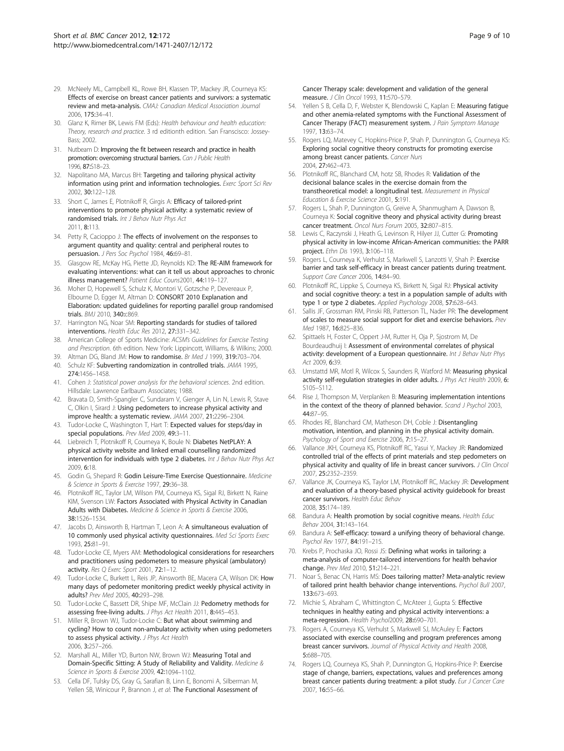- <span id="page-8-0"></span>29. McNeely ML, Campbell KL, Rowe BH, Klassen TP, Mackey JR, Courneya KS: Effects of exercise on breast cancer patients and survivors: a systematic review and meta-analysis. CMAJ: Canadian Medical Association Journal 2006, 175:34–41.
- 30. Glanz K, Rimer BK, Lewis FM (Eds): Health behaviour and health education: Theory, research and practice. 3 rd editionth edition. San Franscisco: Jossey-Bass; 2002.
- 31. Nutbeam D: Improving the fit between research and practice in health promotion: overcoming structural barriers. Can J Public Health 1996, 87:S18–23.
- 32. Napolitano MA, Marcus BH: Targeting and tailoring physical activity information using print and information technologies. Exerc Sport Sci Rev 2002, 30:122–128.
- 33. Short C, James E, Plotnikoff R, Girgis A: Efficacy of tailored-print interventions to promote physical activity: a systematic review of randomised trials. Int J Behav Nutr Phys Act 2011, 8:113.
- 34. Petty R, Cacioppo J: The effects of involvement on the responses to argument quantity and quality: central and peripheral routes to persuasion. J Pers Soc Psychol 1984, 46:69-81.
- 35. Glasgow RE, McKay HG, Piette JD, Reynolds KD: The RE-AIM framework for evaluating interventions: what can it tell us about approaches to chronic illness management? Patient Educ Couns2001, 44:119–127.
- 36. Moher D, Hopewell S, Schulz K, Montori V, Gotzsche P, Devereaux P, Elbourne D, Egger M, Altman D: CONSORT 2010 Explanation and Elaboration: updated guidelines for reporting parallel group randomised trials. BMJ 2010, 340:c869.
- 37. Harrington NG, Noar SM: Reporting standards for studies of tailored interventions. Health Educ Res 2012, 27:331–342.
- 38. American College of Sports Medicine: ACSM's Guidelines for Exercise Testing and Prescription. 6th edition. New York: Lippincott, Williams, & Wilkins; 2000.
- 39. Altman DG, Bland JM: How to randomise. Br Med J 1999, 319:703-704. 40. Schulz KF: Subverting randomization in controlled trials. JAMA 1995, 274:1456–1458.
- 41. Cohen J: Statistical power analysis for the behavioral sciences. 2nd edition. Hillsdale: Lawrence Earlbaum Associates; 1988.
- 42. Bravata D, Smith-Spangler C, Sundaram V, Gienger A, Lin N, Lewis R, Stave C, Olkin I, Sirard J: Using pedometers to increase physical activity and improve health: a systematic review. JAMA 2007, 21:2296–2304.
- 43. Tudor-Locke C, Washington T, Hart T: Expected values for steps/day in special populations. Prev Med 2009, 49:3-11.
- 44. Liebreich T, Plotnikoff R, Courneya K, Boule N: Diabetes NetPLAY: A physical activity website and linked email counselling randomized intervention for individuals with type 2 diabetes. Int J Behav Nutr Phys Act 2009, 6:18.
- 45. Godin G, Shepard R: Godin Leisure-Time Exercise Questionnaire. Medicine & Science in Sports & Exercise 1997, 29:36–38.
- 46. Plotnikoff RC, Taylor LM, Wilson PM, Courneya KS, Sigal RJ, Birkett N, Raine KIM, Svenson LW: Factors Associated with Physical Activity in Canadian Adults with Diabetes. Medicine & Science in Sports & Exercise 2006, 38:1526–1534.
- 47. Jacobs D, Ainsworth B, Hartman T, Leon A: A simultaneous evaluation of 10 commonly used physical activity questionnaires. Med Sci Sports Exerc 1993, 25:81–91.
- 48. Tudor-Locke CE, Myers AM: Methodological considerations for researchers and practitioners using pedometers to measure physical (ambulatory) activity. Res Q Exerc Sport 2001, 72:1-12.
- 49. Tudor-Locke C, Burkett L, Reis JP, Ainsworth BE, Macera CA, Wilson DK: How many days of pedometer monitoring predict weekly physical activity in adults? Prev Med 2005, 40:293–298.
- 50. Tudor-Locke C, Bassett DR, Shipe MF, McClain JJ: Pedometry methods for assessing free-living adults. J Phys Act Health 2011, 8:445-453.
- 51. Miller R, Brown WJ, Tudor-Locke C: But what about swimming and cycling? How to count non-ambulatory activity when using pedometers to assess physical activity. J Phys Act Health 2006, 3:257–266.
- 52. Marshall AL, Miller YD, Burton NW, Brown WJ: Measuring Total and Domain-Specific Sitting: A Study of Reliability and Validity. Medicine & Science in Sports & Exercise 2009, 42:1094–1102.
- 53. Cella DF, Tulsky DS, Gray G, Sarafian B, Linn E, Bonomi A, Silberman M, Yellen SB, Winicour P, Brannon J, et al: The Functional Assessment of

Cancer Therapy scale: development and validation of the general measure. J Clin Oncol 1993, 11:570–579.

- 54. Yellen S B, Cella D, F, Webster K, Blendowski C, Kaplan E: Measuring fatigue and other anemia-related symptoms with the Functional Assessment of Cancer Therapy (FACT) measurement system. J Pain Symptom Manage 1997, 13:63–74.
- 55. Rogers LQ, Matevey C, Hopkins-Price P, Shah P, Dunnington G, Courneya KS: Exploring social cognitive theory constructs for promoting exercise among breast cancer patients. Cancer Nurs 2004, 27:462–473.
- 56. Plotnikoff RC, Blanchard CM, hotz SB, Rhodes R: Validation of the decisional balance scales in the exercise domain from the transtheoretical model: a longitudinal test. Measurement in Physical Education & Exercise Science 2001, 5:191.
- 57. Rogers L, Shah P, Dunnington G, Greive A, Shanmugham A, Dawson B, Courneya K: Social cognitive theory and physical activity during breast cancer treatment. Oncol Nurs Forum 2005, 32:807–815.
- 58. Lewis C, Raczynski J, Heath G, Levinson R, Hilyer JJ, Cutter G: Promoting physical activity in low-income African-American communities: the PARR project. Ethn Dis 1993, 3:106–118.
- 59. Rogers L, Courneya K, Verhulst S, Markwell S, Lanzotti V, Shah P: Exercise barrier and task self-efficacy in breast cancer patients during treatment. Support Care Cancer 2006, 14:84–90.
- 60. Plotnikoff RC, Lippke S, Courneya KS, Birkett N, Sigal RJ: Physical activity and social cognitive theory: a test in a population sample of adults with type 1 or type 2 diabetes. Applied Psychology 2008, 57:628–643.
- 61. Sallis JF, Grossman RM, Pinski RB, Patterson TL, Nader PR: The development of scales to measure social support for diet and exercise behaviors. Prev Med 1987 16:825-836.
- 62. Spittaels H, Foster C, Oppert J-M, Rutter H, Oja P, Sjostrom M, De Bourdeaudhuij I: Assessment of environmental correlates of physical activity: development of a European questionnaire. Int J Behav Nutr Phys Act 2009, 6:39.
- 63. Umstattd MR, Motl R, Wilcox S, Saunders R, Watford M: Measuring physical activity self-regulation strategies in older adults. J Phys Act Health 2009, 6: S105–S112.
- 64. Rise J, Thompson M, Verplanken B: Measuring implementation intentions in the context of the theory of planned behavior. Scand J Psychol 2003, 44:87–95.
- 65. Rhodes RE, Blanchard CM, Matheson DH, Coble J: Disentangling motivation, intention, and planning in the physical activity domain. Psychology of Sport and Exercise 2006, 7:15–27.
- 66. Vallance JKH, Courneya KS, Plotnikoff RC, Yasui Y, Mackey JR: Randomized controlled trial of the effects of print materials and step pedometers on physical activity and quality of life in breast cancer survivors. J Clin Oncol 2007, 25:2352–2359.
- 67. Vallance JK, Courneya KS, Taylor LM, Plotnikoff RC, Mackey JR: Development and evaluation of a theory-based physical activity guidebook for breast cancer survivors. Health Educ Behav 2008, 35:174–189.
- 68. Bandura A: Health promotion by social cognitive means. Health Educ Behav 2004, 31:143–164.
- 69. Bandura A: Self-efficacy: toward a unifying theory of behavioral change. Psychol Rev 1977, 84:191–215.
- 70. Krebs P, Prochaska JO, Rossi JS: Defining what works in tailoring: a meta-analysis of computer-tailored interventions for health behavior change. Prev Med 2010, 51:214–221.
- 71. Noar S, Benac CN, Harris MS: Does tailoring matter? Meta-analytic review of tailored print health behavior change interventions. Psychol Bull 2007, 133:673–693.
- 72. Michie S, Abraham C, Whittington C, McAteer J, Gupta S: Effective techniques in healthy eating and physical activity interventions: a meta-regression. Health Psychol2009, 28:690–701.
- 73. Rogers A, Courneya KS, Verhulst S, Markwell SJ, McAuley E: Factors associated with exercise counselling and program preferences among breast cancer survivors. Journal of Physical Activity and Health 2008, 5:688–705.
- 74. Rogers LQ, Courneya KS, Shah P, Dunnington G, Hopkins-Price P: Exercise stage of change, barriers, expectations, values and preferences among breast cancer patients during treatment: a pilot study. Eur J Cancer Care 2007, 16:55–66.